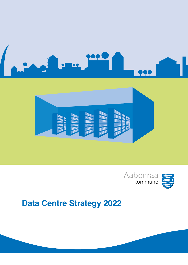





# **Data Centre Strategy 2022**

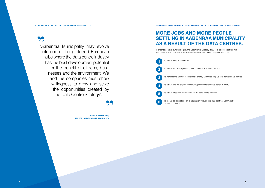99

'Aabenraa Municipality may evolve into one of the preferred European hubs where the data centre industry has the best development potential - for the benefit of citizens, businesses and the environment. We and the companies must show willingness to grow and seize the opportunities created by the Data Centre Strategy'.

# **99**<br>EN.

**THOMAS ANDRESEN, MAYOR, AABENRAA MUNICIPALITY**

## **DATA CENTRE STRATEGY 2022 - AABENRAA MUNICIPALITY: AABENRAA MUNICIPALITY'S DATA CENTRE STRATEGY 2022 HAS ONE OVERALL GOAL:**

# **MORE JOBS AND MORE PEOPLE SETTLING IN AABENRAA MUNICIPALITY AS A RESULT OF THE DATA CENTRES.**

In order to achieve our overall goal, the Data Centre Strategy 2022 sets up six objectives with

To increase the amount of sustainable energy and utilise surplus heat from the data centres

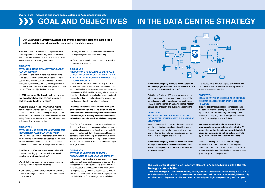**Our Data Centre Strategy 2022 has one overall goal: 'More jobs and more people settling in Aabenraa Municipality as a result of the data centres'.**

This overall goal is divided into six objectives which must be pursued simultaneously. Each objective is associated with a number of actions which combined will focus our efforts leading up to 2022.

#### **OBJECTIVE 1 ATTRACTING MORE DATA CENTRES TO AABEN-RAA MUNICIPALITY**

Our analyses show that if more data centres were to be established in Aabenraa Municipality we have optimal conditions for attracting downstream industries such as subcontractors and service providers in connection with the construction and operation of data centres. Thus, the objective is as follows:

If we are to achieve this objective, we must work to achieve additional reliable power supply, fast data connections, business areas covered by district plans and further professionalisation of business services and marketing. Data Centre Strategy 2022 sets forth a number of actions which will achieve just that.

**'In 2022, Aabenraa Municipality will be home to two operational data centres. Two more data centres are in the planning stage'.**

#### **OBJECTIVE 2**

#### **ATTRACTING AND DEVELOPING DOWNSTREAM INDUSTRIES IN AABENRAA MUNICIPALITY**

It is the ambition of Aabenraa Municipality to utilise surplus heat from the data centres for district heating and possibly alternative uses that have socio-economic benefits and will fulfil the UN climate goals. At the same time, the utilisation of the surplus heat could create additional downstream industries based on research and development. Thus, the objective is as follows:

While the first data centre is under construction, and while we are working to attract more data centres, we will simultaneously launch initiatives that will attract and develop downstream industries. Thus, the objective is as follows:

**'Leading up to 2022, Aabenraa Municipality will create a breeding ground that will attract and develop downstream industries'.** 

We will do this by means of numerous actions within three types of downstream industries:

1.Contractors, subcontractors and service providers who are engaged in construction and operation of data centres

It is a must for construction and operation of very large data centres that no bottlenecks are encountered in the recruitment of employees. This is best achieved if the education of the labour force to a large extent takes place locally and has a clear objective. In turn, this will contribute to more jobs and more people settling in Aabenraa. Thus, the objective is as follows:



- 2. Strengths in the local business community within transport/logistics and circular economy
- 3. Technological development, including research and development projects

#### **OBJECTIVE 3**

## **PRODUCTION OF SUSTAINABLE ENERGY AND UTILISATION OF SURPLUS HEAT, THEREBY CRE-ATING ADDITIONAL DOWNSTREAM INDUSTRIES IN SOUTHERN JUTLAND**

**'Aabenraa Municipality works for both production of sustainable energy and for development and implementation of district heating solutions based on surplus heat, thus creating downstream industries in Southern Jutland that will benefit Danish exports'.**

Data Centre Strategy 2022 comprises a number of actions that will promote the necessary national framework for additional production of sustainable energy and utilisation of surplus heat, that will create the right regional collaboration and that will explore alternative utilisation of surplus heat. Combined, these types of downstream industries can contribute to more jobs and more people settling in Aabenraa.

#### **OBJECTIVE 4 ATTRACTING VOCATIONAL EDUCATION PROGRAMMES TO AABENRAA MUNICIPALITY**

## **The Data Centre Strategy is an important element in Aabenraa Municipality's Growth**

**Strategy and Growth Plan**

**Data Centre Strategy 2022 derives from Healthy Growth, Aabenraa Municipality's Growth Strategy 2018-2030. It generally contributes to the pursuit of the vision of Aabenraa Municipality as a world-renowned digital community, and it is especially important for initiatives related to the focal point 'Digital companies as growth catalysts'.**

**Overall goal – more jobs and more people settling in Aabenraa Municipality**

# **EXAMPLE AND OBJECTIVES IN THE DATA CENTRE STRATEGY**

**'Aabenraa Municipality wishes to attract vocational education programmes that reflect the needs of data centres and downstream industries'.**

Data Centre Strategy 2022 sets up actions which will attract and enhance vocational programmes locally, e.g. education and further education of electricians, HVAC (Heating, Ventilation and Air Conditioning) technicians, field engineers and automation technicians.

#### **OBJECTIVE 5**

**ENSURING THAT PEOPLE WORKING IN THE DATA CENTRE INDUSTRY SETTLE IN AABENRAA MUNICIPALITY** 

Already by construction start, employees associated with the construction may choose to settle down in Aabenraa Municipality, where construction and operation of data centres will create steady jobs for many years. Thus, the objective is as follows:

**'Aabenraa Municipality wishes to attract and retain managers, technicians and construction workers who will accompany the construction and operation of the data centres'.**

This requires strong initiatives targeted at settlement, and Data Centre Strategy 2022 is thus establishing a number of actions to achieve this objective.

## **OBJECTIVE 6 COLLABORATING ON DIGITALISATION THROUGH THE DATA CENTRES' COMMUNITY OUTREACH PROJECTS**

It is anticipated that the global IT companies behind the data centres will want to play an active role locally, e.g. in the so-called Community Outreach projects. Aabenraa Municipality wishes to target such collaboration. Thus, the objective is as follows:

**'Aabenraa Municipality wishes to establish a long-term development collaboration with the IT companies behind the data centres within digitalisation and education as well as welfare technology for the benefit of citizens and businesses'.**

To achieve this objective, Data Centre Strategy 2022 establishes a number of actions that will inspire to close collaboration with the data centre companies in areas where Aabenraa Municipality is investing actively and enjoys good competences.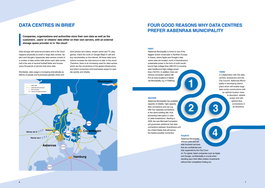Data storage with external providers and in the cloud happens physically at small or large data centres. Apple's and Google's hyperscale data centres consist of a number of data centre halls where each data centre hall is the size of several football fields and houses many thousands of servers that store data.

Worldwide, data usage is increasing dramatically as billions of people and businesses globally share and store photos and videos, stream series and TV, play games, check the route on Google Maps or sell and buy merchandise on the internet. All these daily transactions increase the total amount of data 'in the cloud'. Therefore, there is an increasing need for data centres which are the cornerstone of the global infrastructure, and which consumers and businesses expect to operate quickly and reliably.

# **DATA CENTRES IN BRIEF FOUR GOOD REASONS WHY DATA CENTRES PREFER AABENRAA MUNICIPALITY**

**Companies, organisations and authorities store their own data as well as the customers', users' or citizens' data either on their own servers, with an external storage space provider or in 'the cloud'.**



**2 3**

**4**

#### **FIRST**

Aabenraa Municipality is home to one of the biggest 'power crossroads' in Northern Europe. In Kassø, where Apple and Google's data centre sites are located, much of Scandinavia's sustainable power in the form of north-/southbound high-voltage lines (400 KV) is crossing east-/westbound high-voltage power lines (150 KV). In addition, there are obvious connection options (60 KV) at many locations in Aabenraa Municipality, e.g. in Padborg.

#### **FOURTH**

cil. For global, listed companies such as Apple

Aabenraa Municipality delivers solid and reliable business services that are confidential and fully supported by the City Counand Google, confidentiality is crucial when without their competitors finding out.

- 
- deciding upon their billion-dollars investments
	-

#### **SECOND**

Aabenraa Municipality has available capacity of reliable, high-capacity fibre connections and can e.g. offer four separate connections to the same building site, thus preventing interruption in case of cable breakdowns. Starting in 2020, the new Mermaid Connection will guarantee additional fast data connections between Scandinavia and the United States that will secure the fastest possible connection.

#### **THIRD**

In collaboration with the data centres, landowners and the City Council, Aabenraa Municipality is developing district plans which will enable large data centre constructions with an optimal location close to abundant, reliable power and with optimal fibre connections in all directions.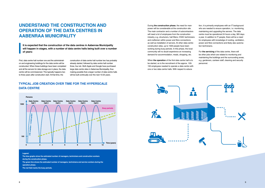First, data centre hall number one and the administration and engineering buildings for the data centre will be constructed. When these buildings have been completed and all the servers for data storage are in place, the data centre will be commissioned. This typically happens two to three years after construction start. At that time, the

construction of data centre hall number two has probably already started, followed by data centre hall number three, four etc. Both Apple and Google have purchased large data centre sites in Aabenraa Municipality, thus making possible that a larger number of data centre halls will be built continually over the next 10-25 years.

During **the construction phase**, the need for manpower will be considerable at the construction site. The main contractor and a number of subcontractors will need a lot of employees from the construction industry, e.g. structurers, hall fitters, HVAC technicians and craftsmen within power and fibre connections as well as installation of servers. At other data centre construction sites, up to 1500 people have been working during busy periods. In this phase, the local community will no doubt experience an increasing demand for accommodation, meals, shopping, etc.

When **the operation** of the first data centre hall is to be started, so is the recruitment of the approx. 100- 150 employees needed to operate a data centre with one or two data centre halls. With respect to educa-



tion, it is primarily employees with an IT background who are needed to ensure operation, *i.e.* monitoring, maintaining and upgrading the servers. The data centre must be operational 24 hours a day, 365 days a year. In addition to IT people, there will be a need for employees with knowledge of cooling, ventilation, power and fibre connections and likely also automation technicians.

For **the servicing** of the data centre, there will be other jobs which are related to monitoring and maintaining the buildings and the surrounding areas, e.g. gardeners, canteen staff, cleaning and security personnel.

# **UNDERSTAND THE CONSTRUCTION AND OPERATION OF THE DATA CENTRES IN AABENRAA MUNICIPALITY**

**It is expected that the construction of the data centres in Aabenraa Municipality will happen in stages, with a number of data centre halls being built over a number of years:**

#### **Legend:**

**The blue graphs show the estimated number of managers, technicians and construction workers during the construction phase.** 

**The green line shows the estimated number of managers, technicians and service workers during the operation phase.** 

**The red field marks the busy periods.**

## **TYPICAL JOB CREATION OVER TIME FOR THE HYPERSCALE DATA CENTRE**

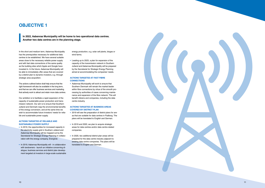In the short and medium term, Aabenraa Municipality has the prerequisites necessary for additional data centres to be established. We have several suitable areas close to the necessary reliable power supply and with fast data connections of the same quality as the building sites which Apple and Google have invested in. In the future, Aabenraa Municipality will be able to immediately offer areas that are covered by a district plan to dynamic investors, e.g. through strategic area acquisition.

The actions outlined below shall help ensure that the right framework will also be available in the long term, and that we can offer business services and marketing that actively work to attract and retain more data centres.

- In 2019, the opportunities for increased capacity in the electricity supply grid in Southern Jutland and Aabenraa Municipality will be mapped out by the Secretariat for Strategic Energy Planning in collabo ration with the energy company, Energinet.
- In 2019, Aabenraa Municipality will in collaboration with landowners - launch an initiative concerning di alogue, business services and district plan develop ment targeted at investors in large-scale sustainable

Our ambition is to facilitate a rapid expansion of the capacity of sustainable power production and trans mission network. Our aim is to ensure that Southern Jutland and Denmark reap the environmental benefits of the energy conversion, and at the same time we wish to accommodate future investors' needs for relia ble and sustainable power supply.

#### **ACTIONS TARGETED AT RELIABLE AND SUSTAINABLE POWER SUPPLY**

energy production, e.g. solar cell plants, biogas or wind farms.

• Leading up to 2023, a plan for expansion of the capacity of the transmission network in Southern Jutland and Aabenraa Municipality will be prepared by the Secretariat for Strategic Energy Planning aimed at accommodating the companies' needs.

#### **ACTIONS TARGETED AT FAST FIBRE CONNECTIONS**

• Aabenraa Municipality will work to ensure that Southern Denmark will remain the market leader within fibre connections by virtue of the smooth pro cessing by authorities of cases concerning mainte nance and expansion of the fibre network. This will benefit citizens and companies, including the data centre industry.

## **ACTIONS TARGETED AT BUSINESS AREAS COVERED BY DISTRICT PLAN**

- 2019 will see the preparation of district plans for are as that are suitable for data centres in Padborg. The plans will be translated to English and German.
- In 2019 and 2020, we plan to acquire strategic areas for data centres and/or data centre-related companies.
- In 2020, two additional district plan areas will be prepared for the data centre industry adjacent to existing data centre companies. The plans will be translated to English and German.



# **OBJECTIVE 1**

**In 2022, Aabenraa Municipality will be home to two operational data centres. Another two data centres are in the planning stage.**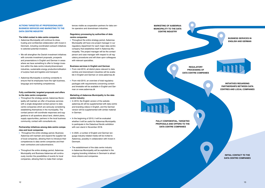#### **ACTIONS TARGETED AT PROFESSIONALISED BUSINESS SERVICES AND MARKETING TO THE DATA CENTRE INDUSTRY**

#### **The initial contact to data centre companies**

- Aabenraa Municipality will continue its close, trusting and confidential collaboration with Invest in Denmark, including coordinated outreach initiatives to selected potential investors.
- We will strengthen the Danish investment initiatives with concrete investment proposals, prospects and presentations in English and German in areas where we have something to offer to foreign investors within the data centre industry/downstream industries, sustainable energy production/utilisation of surplus heat and logistics and transport.
- Aabenraa Municipality is working constantly to ensure that its employees have the right business, language and marketing competences.

#### **Fully confidential, targeted proposals and offers to the data centre companies**

- Throughout the entire strategy period, Business Aabenraa will maintain and expand the supplier list of local companies, allowing them to introduce their competences to data centre companies and their main contractors and subcontractors.
- Throughout the entire strategy period, Aabenraa Municipality and Business Aabenraa will continuously monitor the possibilities of events for local companies, allowing them to make their compe-

• Throughout the entire strategy period, Aabenraa Municipality will have one project manager in our regulatory department for each major data centre company that establishes itself in Aabenraa Municipality. The project manager will be the contact person and case manager with respect to all regulatory procedures and will draw upon colleagues with relevant specialties.

• Throughout the strategy period, Aabenraa Municipality will maintain an offer of business services with a single designated contact person to data centre companies which are seriously considering establishing themselves in the municipality. The contact person will coordinate responses and suggestions to all questions about land, district plans, supply opportunities, partners in the local business community, contact with consultants etc.

#### **Partnership initiatives among data centre companies and local companies**

tences visible as cooperation partners for data centre operators and downstream industries.

#### **Regulatory processing by authorities of data centre companies**

#### **Business services in English and German**

- From mid-2019, all district plans relevant to data centres and downstream industries will be available in English and German on www.aabenraa.dk
- From mid-2019, an overview of total regulatory packages with requirements concerning content and timetable will be available in English and German on www.aabenraa.dk

#### **Marketing of Aabenraa Municipality to the data centre industry**

- In 2019, the English version of the website aabenraa.dk will be supplemented with data centre and branding videos in English, and the German version will be supplemented with similar material in German.
- In the beginning of 2019, it will be evaluated whether it will be useful for Aabenraa Municipality to participate in the Datacloud Nordic exhibition with own stand in November 2018.
- In 2020, a number of English and German language industry-related media will be invited to Aabenraa, possibly in collaboration with Invest in Denmark.
- The establishment of the data centre industry in Aabenraa Municipality will be exploited in the ongoing branding initiatives in Denmark to attract more citizens and companies. **In a structure contact to the last of the contact to the last of the last of the last of the last of the last of the last of the last of the last of the last of the last of the last of the las**

**DATA CENTRE COMPANIES**

**INITIATIVES REGARDING PARTNERSHIPS BETWEEN DATA CENTRES AND LOCAL COMPANIES**

**REGULATORY PROCESSING OF DATA CENTRE COMPANIES**

**FULLY CONFIDENTIAL, TARGETED PROPOSALS AND OFFERS TO THE DATA CENTRE COMPANIES**



**MARKETING OF AABENRAA MUNICIPALITY TO THE DATA CENTRE INDUSTRY**

## **BUSINESS SERVICES IN ENGLISH AND GERMAN**

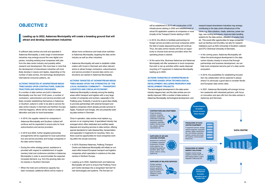If sufficient data centres are built and operated in Aabenraa Municipality, a wide range of downstream industries may emerge around the new digital companies, including existing local companies with jobs from the data centre industry and possibly within research and development. We must bear in mind that the development of downstream industries will most likely develop in waves and ripples, depending on the number of data centres, the technology development, international consumer patterns, etc.

#### **ACTIONS TARGETED AT DOWNSTREAM INDUS-TRIES BASED UPON CONTRACTORS, SUBCON-TRACTORS AND SERVICE PROVIDERS**

If a number of data centres are built in Aabenraa Municipality over the next 10-25 years, a number of contractors, subcontractors and service providers will likely consider establishing themselves in Aabenraa or Southern Jutland in order to be able to service the data centre industry in Denmark and Northern Europe. Until that happens, efforts will be made to create collaboration and jobs for local businesses.

- In 2019, the supplier network for companies in Aabenraa Municipality and Southern Jutland will continue and be expanded to ensure jobs for local subcontractors and service providers.
- In 2019 and 2020, further targeted partnership arrangements will be organised for local subcontractors and service providers and foreign companies in the data centre industry.
- During the entire strategy period, assistance is provided with respect to establishment of supplementary hotel and conference activities in Aabenraa Municipality in order to accommodate the expected increased demand, e.g. from the growing data centre industry in Southern Denmark.
- When the hotel and conference capacity has been increased, additional efforts will be made to

attract more conference and trade show activities to Aabenraa Municipality, targeting the data centre industry as well as other industries.

• Aabenraa Municipality will seek to establish collaboration with Invest in Denmark and other relevant actors to attract foreign contractors, subcontractors and service providers if several data centre constructions are started in Aabenraa Municipality.

#### **ACTIONS TARGETED AT DOWNSTREAM INDUS-TRIES BASED UPON THE STRENGTHS OF THE LOCAL BUSINESS COMMUNITY – TRANSPORT/ LOGISTICS AND CIRCULAR ECONOMY**

Aabenraa Municipality is already among the leading areas within transport and logistics with a very large number of companies and workers, especially in the Padborg area. Evidently, it would be a good idea initially to promote partnerships with external transport and logistics companies which already provide services to Apple, Facebook and Google, who are presently building data centres in Denmark.

Once in operation, data centres must replace e.g. servers on an ongoing basis. A specialised industry has emerged which offers dedicated and certified waste disposal and recycling services to data centres, offering special standards for safe disassembly, transportation and separation in fragments for recycling. Here, too, there could be opportunities for local companies working within the circular economy.

- In 2019, Business Aabenraa, Padborg Transport Centre and Aabenraa Municipality will initiate an outreach effort toward European transport and logistics companies which specialise in solutions to the data centres in Northern Europe.
- Leading up to 2022, GateDenmark and Aabenraa Municipality will work to ensure that Padborg Transport Centre develops into a recognised 'test bed' for new technologies and systems. The first test run

## **OBJECTIVE 2**

**Leading up to 2022, Aabenraa Municipality will create a breeding ground that will attract and develop downstream industries**

#### Project developers, architects, consulting engineers, building and construction companies,

electrical technology companies, carpenters, builders, flooring companies, glaziers, painters,

cabinets, cables, transformers etc.) and software (operating systems, security and encryption systems, communication, backup etc.)

Equipment for monitoring of ventilation equipment, temperatures, humidity smoke detectors, fire extinguishing equipment. sprinklers, lights, water pumps, sensors, cooling

suppliers of surplus heat to district heating systems, system integration, heat pumps etc.

Canteen operation, security and guard services, gardeners, building maintenance, legal and auditing assistance, accommodation etc.

## **CONTRACTORS AND CRAFTSMEN**

**CENTRE EQUIPMENT**

**SUPPLIERS OF AIR AND COOLING SYSTEMS**

## **ENERGY SOLUTIONS**

**SUPPLIERS OF RELATED SERVICES**

 $\Omega$ 

**CO** 

will be established in 2019 with construction of 5G infrastructures starting in 2020 and establishment of actual 5G application systems at companies or more broadly at the Transport Centre starting in 2021.

- In 2019, the efforts to facilitate partnerships for foreign service providers and local companies within the field of waste disposal/recycling will continue. Thus, the data centre industry will have an opportunity to choose local service providers when the operating phase is started.
- At the same time, Business Aabenraa and Aabenraa Municipality will offer assistance to local companies that wish to set up activities within waste disposal/ recycling of IT equipment in Aabenraa Municipality leading up to 2023.



#### **ACTIONS TARGETED AT DOWNSTREAM IN-DUSTRIES BASED UPON TECHNOLOGICAL DEVELOPMENT, INCLUDING RESEARCH AND DEVELOPMENT PROJECTS**

The technological development in the data centre industry happens fast, and the data centres are constantly improved. With a number of data centres in Aabenraa Municipality, technological development- and

research-based downstream industries may emerge, contributing to the data centre infrastructure of the future, e.g. fibre solutions, masts, antennas, power savings, new cooling techniques, improved data handling systems for the data centres, utilisation of surplus heat etc. This would offer opportunities for large companies such as Danfoss and Grundfos, but also for research institutions such as SDU (University of Southern Jutland) and DTU (Technical University of Denmark).

- In the coming years, Aabenraa Municipality will follow the technological development in the data centre industry closely to ensure that through partnerships and business development, we can help local companies become part of a data centre ecosystem.
- In 2019, the possibilities for establishing focused twin city collaboration will be explored in places where it is obviously a good idea to consider Nordic and European data centre cities.
- In 2021, Aabenraa Municipality will arrange innovation weekends with interested partners, with focus on innovation and spin-offs from the data centres in Aabenraa and Denmark.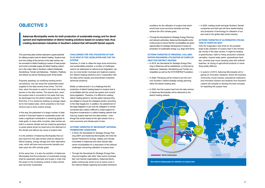The upcoming data centres represent a great potential for utilising surplus heat for district heating. Surplus heat from the cooling of the servers in the data centres can be converted to district heating by means of heat pumps and could in principle supply all district heating customers in the major cities in Southern Jutland (Haderslev, Sønderborg, Tønder and Aabenraa – Rødekro, Padborg and others) as well as Flensburg south of the border.

Popularly speaking, by modifying existing technical solutions, one can reuse the sustainable power supplied to the data centres three times. The first time, when the power is used to cool down the many servers in the data centres. The second time, when the surplus heat is converted to hot water that may be discharged into the district heating network. The third time, if it is reused by building up storage capacity for the heated water, which presently is the most obvious way to store surplus energy.

In this way, the placement of a larger number of data centres in Denmark based on sustainable power will make a significant contribution in achieving global climate goals. In many other countries, data centres are built in a warmer climate and are cooled by generators or power plants driven by fossil fuel to the detriment of the climate and without any reuse of surplus heat.

It is the ambition of Aabenraa Municipality that surplus heat from the data centres shall be utilised for district heating, energy storage and other alternative uses, which will have socio-economic benefits and help reach the UN's climate goals.

At the same time, it is also the ambition of Aabenraa Municipality that the production of sustainable energy shall be expanded nationally and locally in order that the power to the increasing number of data centres also becomes sustainable.

#### **CHALLENGES FOR THE UTILISATION OF SUR-PLUS HEAT IN THE LEGISLATION AND THE TAX SYSTEM**

However, in order to utilise the large socio-economics and sustainability potential, a number of challenges need to be addressed at national level (legislation, taxes), by cross-border municipal and regional cooperation (district heating solutions) and in cooperation with the data centre industry and downstream industries (technical solutions).

• Through the Secretariat for Strategic Energy Planning and relevant authorities, Aabenraa Municipality works continuously to ensure that the municipalities are given opportunities for strategic development of areas for production of sustainable energy, e.g. large wind farms.

Briefly, at national level, it is a challenge that the production of district heating based on surplus heat is not profitable with the current tax system and current/ future legislation. Therefore, it is difficult for existing district heating plants to use this option because they are obliged to choose the cheapest solution according to the Heat Supply Act. In addition, the abolishment of the legal obligation to join and the obligation to remain connected also makes it difficult to create support for long-term investments in a district heating network that may buy surplus heat from the data centres – even though this would clearly be the right solution from a socio-economic and climate point of view.

#### **ACTIONS TARGETED AT NECESSARY NATIONAL FRAMEWORK CONDITIONS**

- In 2019, the Secretariat for Strategic Energy Planning (SEP) and Aabenraa Municipality will invite the Danish Parliament's Energy, Utilities and Climate Committee to Aabenraa and other Danish data centre municipalities for a discussion of the national challenges concerning utilisation of surplus heat.
- Through the Secretariat for Strategic Energy Planning and together with other 'data centre municipalities' and interest organisations, Aabenraa Municipality continuously works to be an active voice in the national debate regarding favourable framework

## **OBJECTIVE 3**

**Aabenraa Municipality works for both production of sustainable energy and for development and implementation of district heating solutions based on surplus heat, thus creating downstream industries in Southern Jutland that will benefit Danish exports**

conditions for the utilisation of surplus heat which would have socio-economic benefits and help achieve the UN's climate goals.

#### **ACTIONS TARGETED AT REGIONAL COLLABO-RATION REGARDING UTILISATION OF SURPLUS HEAT FOR DISTRICT HEATING**

- In 2019, the Secretariat for Strategic Energy Planning in Aabenraa will be established, co-financed by Aabenraa, Haderslev, Sønderborg and Tønder municipalities as well as the SYD ENERGI Foundation.
- In 2020, Flensburg will be invited to join the common Southern Jutland strategic energy planning within the district heating area.
- In 2023, the first surplus heat from the data centres in Aabenraa Municipality will be delivered to the district heating network.

• In 2025, existing small and large Southern Danish companies and start-ups will have started testing and production of technology for utilisation of surplus heat to the global data centre industry.

#### **ACTIONS TARGETED AT ALTERNATIVE UTILISA-TION OF SURPLUS HEAT**

Only the imagination sets limits for the possible large-scale utilisation of surplus heat in the immediate vicinity of the data centres. It might be heating of greenhouses, halls for hemp production (medical cannabis), tropical water parks, spa/wellness facilities, covered year-round camping sites with artificial beaches, air drying of agricultural products or something totally different.

• In autumn of 2019, Aabenraa Municipality will organise an innovation weekend, where the business community, tourist industry, educational institutions and innovative citizens and students from Southern Jutland will compete to develop the best concepts for exploiting the surplus heat.

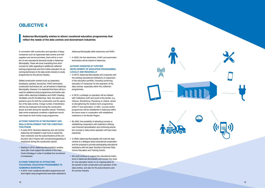In connection with construction and operation of large companies such as hyperscale data centres and their suppliers and service providers, there will be a num ber of new educational demands locally in Aabenraa Municipality. These will cover everything from short courses for skills upgrading to additional craftsmen training programmes and from further education for up coming technicians in the data centre industry to study programmes for the service industry.

Skilled construction workers such as carpenters, bricklayers, painters, structurers, HVAC technicians, construction technicians etc. are all trained in Aabenraa Municipality. However, it is expected that there will be a need for additional study programmes and further edu cation within electrical installation and HVAC (Heating, Ventilation and Air Conditioning). Here, the need is ex pected to grow for both the construction and the opera tion of the data centres. A large number of electricians will thus be employed both during the construction phase and later during the operation period. Therefore, data centre employees constitute a significant recruit ment basis for short further study programmes.

#### **ACTIONS TARGETED AT RECRUITMENT AND SKILLS DEVELOPMENT FOR THE CONSTRUC - TION PHASE**

- In early 2019, Business Aabenraa and Job Centre Aabenraa will establish a task force to assist the main contractor and the subcontractors at the con struction site in Kassø with recruitment/upgrading of employees during the construction period.
- Starting in 2019, Aabenraa Municipality's employ ment plan must support the actions of the Data Centre Strategy in order to facilitate the recruitment of employees.

#### **ACTIONS TARGETED AT ATTRACTING VOCATIONAL EDUCATION PROGRAMMES TO AABENRAA MUNICIPALITY**

• In 2019, more vocational education programmes and short higher study programmes have been attracted to Aabenraa Municipality within electronics and HVAC.

• In 2022, the first electricians, HVAC and automation technicians will be trained in Aabenraa.

#### **ACTIONS TARGETED AT FURTHER DEVELOPMENT OF EDUCATION PROGRAMMES, LOCALLY AND REGIONALLY**

- In 2019, Aabenraa Municipality will cooperate with the existing educational institutions on expansion of the education portfolio, including continuing education of manpower for the operation of the data centres, especially within the craftsmen programmes.
- In 2019, a strategic co-operation will be initiated with institutions north and south of the border, e.g. Odense, Sønderborg, Flensburg or Lübeck, aimed at strengthening the medium-term programmes within IT and automation. In 2021, courses and/or programmes will be established in Aabenraa within the same areas in cooperation with established institutions in the Border Region.
- By 2020, the possibility of attracting courses or establishing cooperation with institutions offering user-financed specialisation and continuing educa tion courses in data centre operation will have been examined.
- In 2020, Aabenraa Municipality will invite the data centres to a dialogue about educational cooperation and the proposal to provide participating educational institutions with the label 'Southern Denmark Data Centre Education and Training Centre'.
- We shall continue to support the educational institu tions in Aabenraa Municipality and monitor the need for new education tracks on an ongoing basis for the benefit of both construction and operation of the data centres, and also for the subcontractors and the service industry.





# **OBJECTIVE 4**

**Aabenraa Municipality wishes to attract vocational education programmes that reflect the needs of the data centres and downstream industries**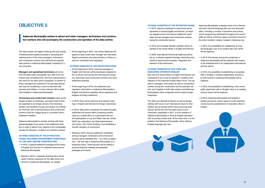#### **ACTIONS TARGETED AT THE RETENTION PHASE**

- In 2019, welcome meetings for newcomers will be expanded to include English and German, as needed, targeted at the most obvious settlement candidates among managers and construction workers during the construction period.
- In 2019, the municipal retention activities will be expanded on the social media, in English and German.
- In 2020, International Community Aabenraa will be set up, a network targeted at foreign newcomers and aimed at improving the reception, integration and retention of the newcomers.

#### **ACTIONS TARGETED AT DAY CARE AND EDUCATION OFFERS IN ENGLISH**

Day care and school offers in English and German are considered to be crucial for attraction, reception and retention of the important foreign labour force. This applies to managers, technicians as well as construction workers during the construction and the operation period, and it applies to both data centres and Aabenraa Municipality's other companies which employ foreign manpower.

• In 2019, the interest among the companies in Aabenraa Municipality will be explored with respect to the establishment of an independent international primary school.

• In 2019, the possibility of establishing an education offer in English in existing independent schools or private schools in Aabenraa Municipality will be explored.

The offers are directed at Danish as well as foreign families with focus on an international future for their children and at families which have previously lived abroad. By the time the first data centre is commissioned, expectedly in 2021, it is the ambition of Aabenraa Municipality to have an English education offer at primary school level. At the same time, it is the ambition that Aabenraa Municipality will be offering English-language day care.



• In 2019, Aabenraa Municipality will facilitate a debate among the various types of youth education concerning the establishment of education offers in English.



Aabenraa Municipality is already home to the German minority's German-language day care and education offers, including a number of preschool and primary school programmes distributed throughout the municipality as well as a German upper secondary school for the entire Southern Jutland, located in Aabenraa city.

• In 2019, the possibilities for establishing an English-language room in an existing day care centre will be explored.

- In 2019, a special settlement package will be ready in English and German for potential newcomers to Aabenraa Municipality.
- Starting in 2019, a separate branding effort will be made to attract manpower for the data centre construction in Aabenraa Municipality, as needed.

• In 2019, the possibility of establishing a free municipality experiment with an English class in an existing primary school will be explored.

The data centres will trigger further growth and activity if Aabenraa Municipality succeeds in attracting and retaining some of the many managers, technicians and construction workers who will build and operate data centres in Aabenraa Municipality, hopefully for a very long time.

**Managers and specialised technicians** will come from the data centre companies' own staff, from contractors and consulting firms, and from subcontractors who work for the data centre companies. A number of these managers are expected to be recruited abroad and may be considering a move to Denmark with spouses and children. It is thus relevant with a settlement initiative in Aabenraa Municipality.

**Technicians and construction workers** make up the largest number of employees, and about half of them are expected to be foreign workers from Germany, Eastern and Southern Europe and Ireland. An estimated 10-20 per cent of the technicians and construction workers could be a target group in connection with a settlement initiative.

Aabenraa Municipality is already working with three phases/strategic focus areas of the settlement initiative in order to attract more citizens to the municipality, namely the attraction, reception and retention phases.

#### **ACTIONS TARGETED AT THE ATTRACTION PHASE, INCLUDING RECRUITMENT ASSISTANCE TO THE DATA CENTRE CONSTRUCTION**

• At the beginning of 2019, Job Centre Aabenraa will appoint a data centre case manager who will assist Apple's contractors and subcontractors, if there is a need for recruitment and upgrading.

#### **ACTIONS TARGETED AT THE RECEPTION PHASE**

- At the beginning of 2019, welcome packages in English and German will be developed, targeted at the 10-20 per cent among the international managers, technicians and construction workers who have settlement potential.
- At the beginning of 2019, the settlement and regulatory information on Aabenraa Municipality's English and German websites will be expanded and targeted at foreign settlement.
- In 2019, there will be welcome and network meetings in English and German for foreign newcomers.
- In 2019, data centre companies and relevant public authorities will receive offers comprising weekly visits by a mobile office or a permanent site hut, with participation of e.g. the Citizen Service Centre, SKAT (tax authorities), the State Administration, Job Centre, Info Centre Padborg, thus facilitating a smooth reception of newcomers.
- Starting in 2019, obvious settlement candidates among managers, technicians and construction workers will be identified who – as a point of departure – will only stay in Aabenraa Municipality on a temporary basis. These persons will be offered a personal welcome meeting and expanded packages and events.

## **OBJECTIVE 5**

**Aabenraa Municipality wishes to attract and retain managers, technicians and construction workers who will accompany the construction and operation of the data centres**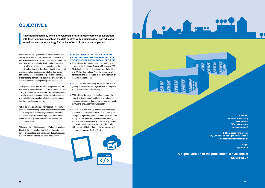Both Apple and Google develop and sell hardware in the form of mobile phones, tablets and computers as well as software and apps, which virtually all Danes use to some extent almost daily. Their products are widely used at all levels of the healthcare sector and the educational system. It is therefore natural to think about local cooperation opportunities with the data centre companies. The ideas in this respect range from hopes of sponsorship agreements, donations of IT equipment to collaboration on coding in the public schools etc.

It is expected that Apple and later Google will also be interested in local collaboration in Aabenraa Municipality, e.g. in the form of the so-called Community Outreach projects, where the companies do just that - reach out in an effort to play an active role in the local community that they have become part of.

Aabenraa Municipality expects that the best opportunities for extensive cooperation opportunities with data centre companies lie within digitalisation and education as well as welfare technology - two areas where Aabenraa Municipality is actively investing and has good competences.

At the same time, it is important that Aabenraa Municipalities' initiatives to collaborate with the data centre companies are prioritised and well thought through, ensuring that both parties' interests are taken into account.

#### **ACTIONS TARGETED AT COLLABORATIONS ABOUT DIGITALISATION THROUGH THE DATA CENTRES' COMMUNITY OUTREACH PROJECTS**

- 2019 will see the development of a catalogue of proposals for Apple and Google with focus on IT & Digitalisation in the public schools and Digital Health and Welfare Technology. All of the municipality's administrations are included in the development of ideas for the catalogue.
- In 2021, the first partnership will be entered into regarding education-related digitalisation in the public schools in Aabenraa Municipality.
- 2022 will see the signing of the first partnership regarding development and testing of welfare technology, including data centre companies, health institutions and Aabenraa Municipality.
- In 2022, all public primary schools and secondary education schools will have had an opportunity to strengthen digital competences among children and young people, including hacker courses, coding and special theme courses about data, e.g. through courses for math teachers, through collaboration with players within the data centre industry or club cooperation such as Coding Pirates.





# **OBJECTIVE 6**

**Aabenraa Municipality wishes to establish long-term development collaboration with the IT companies behind the data centres within digitalisation and education as well as welfare technology for the benefits of citizens and companies**

> **Publisher: Aabenraa Municipality Skelbækvej 2 DK-6200 Aabenraa www.aabenraa.dk**

**Editing, design and layout: City Council and Management Secretariat byradssekretariat@aabenraa.dk**

> **Design: tegnerum.dk**

**A digital version of the publication is available at aabenraa.dk**